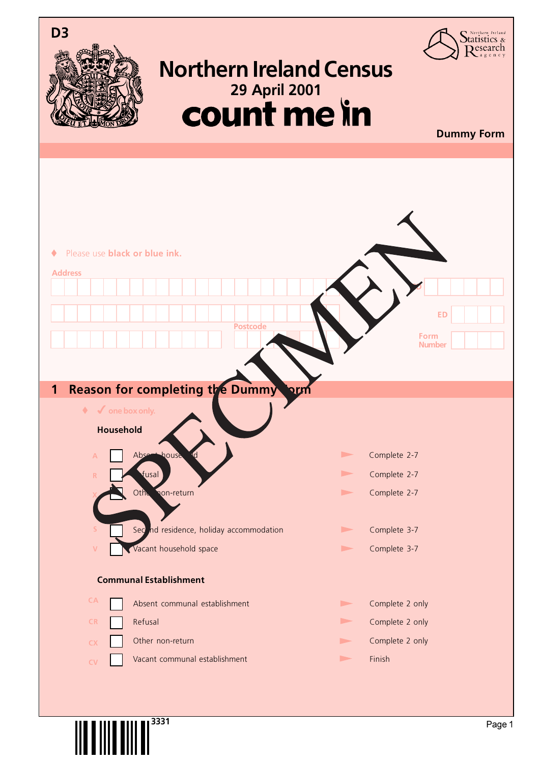